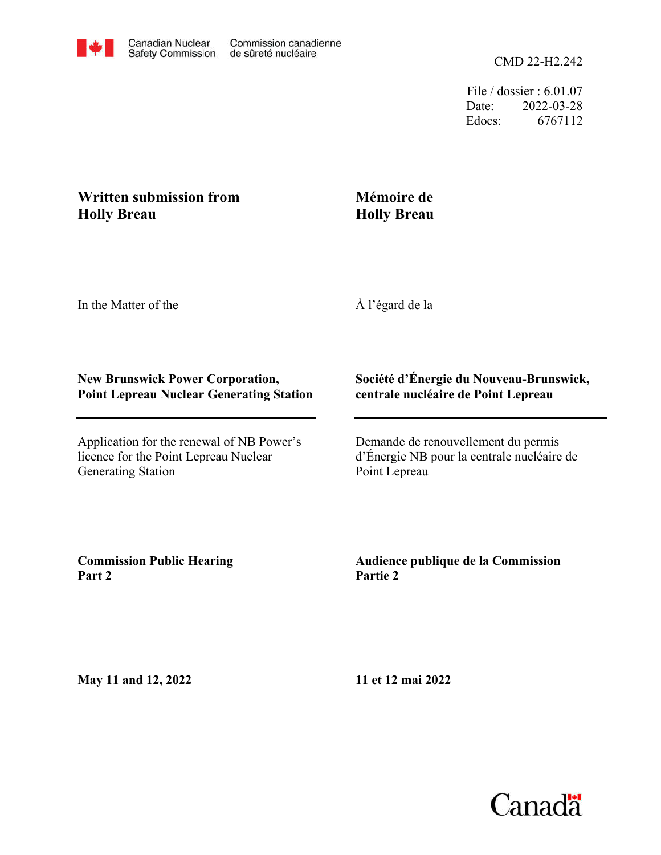File / dossier : 6.01.07 Date: 2022-03-28 Edocs: 6767112

# **Written submission from Holly Breau**

# **Mémoire de Holly Breau**

In the Matter of the

À l'égard de la

## **New Brunswick Power Corporation, Point Lepreau Nuclear Generating Station**

Application for the renewal of NB Power's licence for the Point Lepreau Nuclear Generating Station

#### **Société d'Énergie du Nouveau-Brunswick, centrale nucléaire de Point Lepreau**

Demande de renouvellement du permis d'Énergie NB pour la centrale nucléaire de Point Lepreau

**Commission Public Hearing Part 2**

## **Audience publique de la Commission Partie 2**

**May 11 and 12, 2022**

**11 et 12 mai 2022**

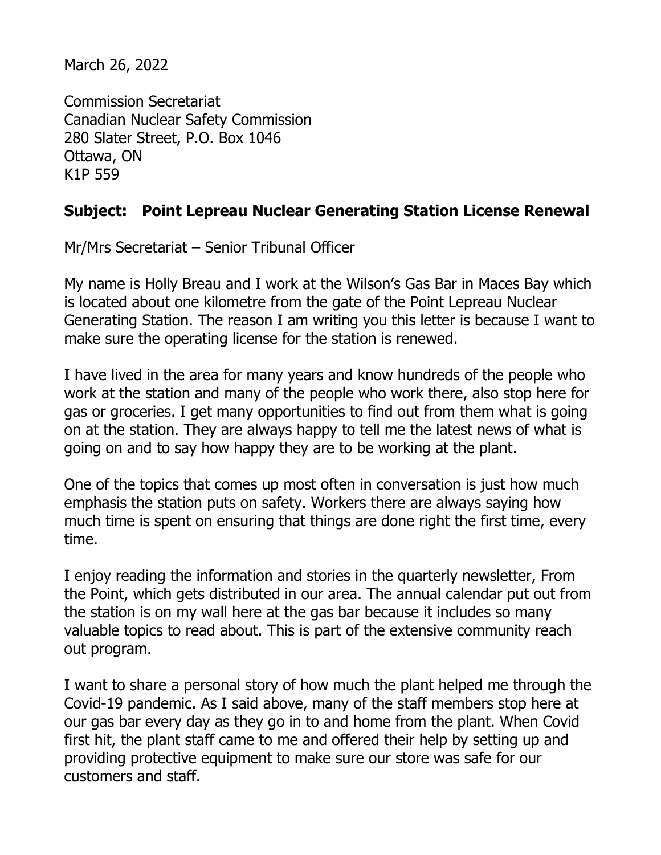March 26, 2022

Commission Secretariat Canadian Nuclear Safety Commission 280 Slater Street, P.O. Box 1046 Ottawa, ON K1P 559

# **Subject: Point Lepreau Nuclear Generating Station License Renewal**

Mr/Mrs Secretariat – Senior Tribunal Officer

My name is Holly Breau and I work at the Wilson's Gas Bar in Maces Bay which is located about one kilometre from the gate of the Point Lepreau Nuclear Generating Station. The reason I am writing you this letter is because I want to make sure the operating license for the station is renewed.

I have lived in the area for many years and know hundreds of the people who work at the station and many of the people who work there, also stop here for gas or groceries. I get many opportunities to find out from them what is going on at the station. They are always happy to tell me the latest news of what is going on and to say how happy they are to be working at the plant.

One of the topics that comes up most often in conversation is just how much emphasis the station puts on safety. Workers there are always saying how much time is spent on ensuring that things are done right the first time, every time.

I enjoy reading the information and stories in the quarterly newsletter, From the Point, which gets distributed in our area. The annual calendar put out from the station is on my wall here at the gas bar because it includes so many valuable topics to read about. This is part of the extensive community reach out program.

I want to share a personal story of how much the plant helped me through the Covid-19 pandemic. As I said above, many of the staff members stop here at our gas bar every day as they go in to and home from the plant. When Covid first hit, the plant staff came to me and offered their help by setting up and providing protective equipment to make sure our store was safe for our customers and staff.